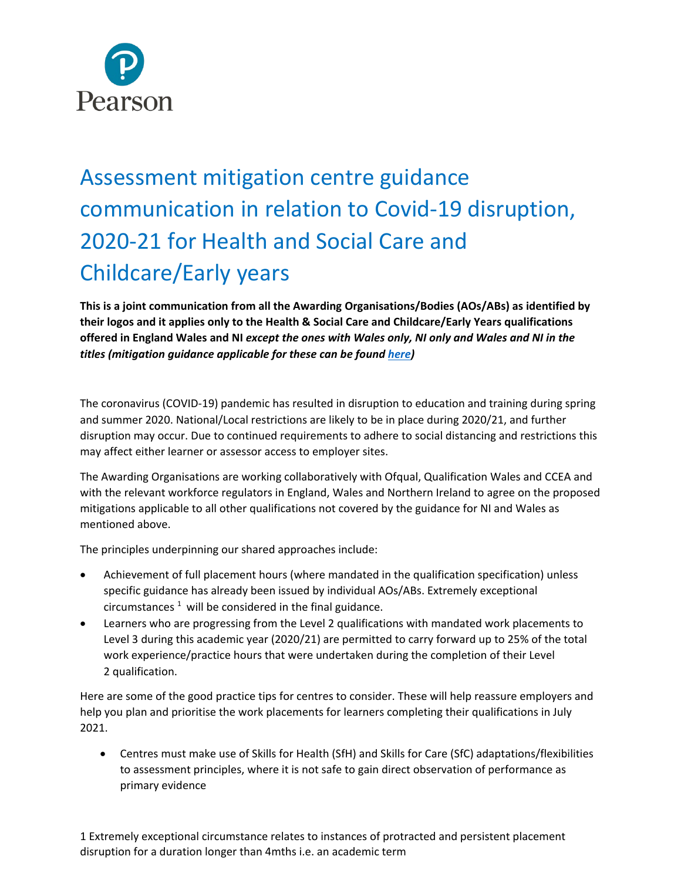

## Assessment mitigation centre guidance communication in relation to Covid-19 disruption, 2020-21 for Health and Social Care and Childcare/Early years

**This is a joint communication from all the Awarding Organisations/Bodies (AOs/ABs) as identified by their logos and it applies only to the Health & Social Care and Childcare/Early Years qualifications offered in England Wales and NI** *except the ones with Wales only, NI only and Wales and NI in the titles (mitigation guidance applicable for these can be found [here\)](https://qualifications.pearson.com/en/campaigns/teaching-and-learning-support-in-2020.html)* 

The coronavirus (COVID-19) pandemic has resulted in disruption to education and training during spring and summer 2020. National/Local restrictions are likely to be in place during 2020/21, and further disruption may occur. Due to continued requirements to adhere to social distancing and restrictions this may affect either learner or assessor access to employer sites.

The Awarding Organisations are working collaboratively with Ofqual, Qualification Wales and CCEA and with the relevant workforce regulators in England, Wales and Northern Ireland to agree on the proposed mitigations applicable to all other qualifications not covered by the guidance for NI and Wales as mentioned above.

The principles underpinning our shared approaches include:

- Achievement of full placement hours (where mandated in the qualification specification) unless specific guidance has already been issued by individual AOs/ABs. Extremely exceptional circumstances  $1$  will be considered in the final guidance.
- Learners who are progressing from the Level 2 qualifications with mandated work placements to Level 3 during this academic year (2020/21) are permitted to carry forward up to 25% of the total work experience/practice hours that were undertaken during the completion of their Level 2 qualification.

Here are some of the good practice tips for centres to consider. These will help reassure employers and help you plan and prioritise the work placements for learners completing their qualifications in July 2021.

• Centres must make use of Skills for Health (SfH) and Skills for Care (SfC) adaptations/flexibilities to assessment principles, where it is not safe to gain direct observation of performance as primary evidence

1 Extremely exceptional circumstance relates to instances of protracted and persistent placement disruption for a duration longer than 4mths i.e. an academic term